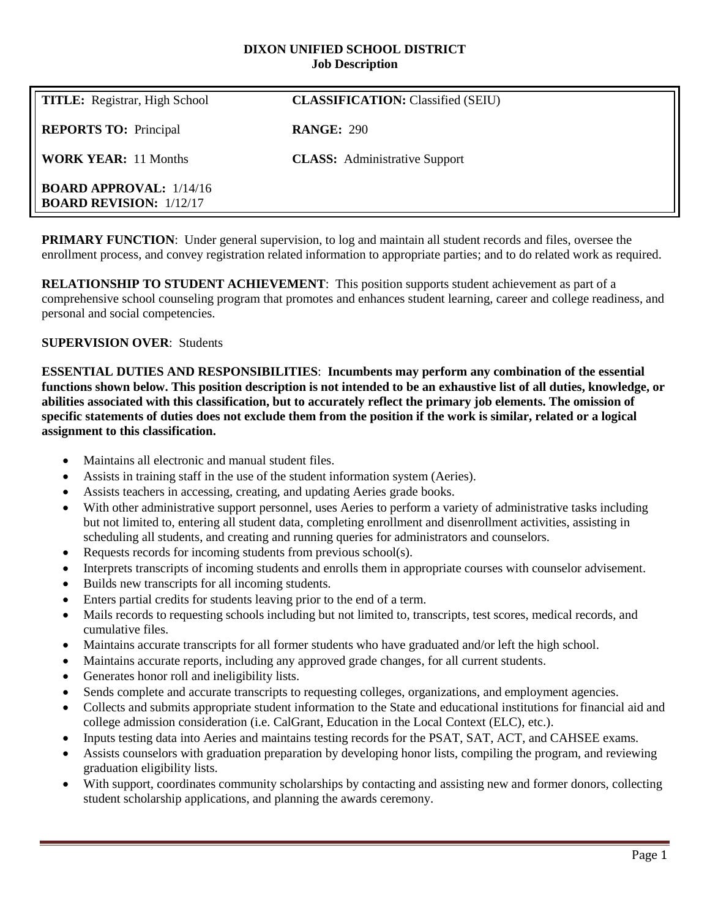#### **DIXON UNIFIED SCHOOL DISTRICT Job Description**

| <b>TITLE:</b> Registrar, High School                             | <b>CLASSIFICATION:</b> Classified (SEIU) |
|------------------------------------------------------------------|------------------------------------------|
| <b>REPORTS TO: Principal</b>                                     | <b>RANGE: 290</b>                        |
| <b>WORK YEAR:</b> 11 Months                                      | <b>CLASS:</b> Administrative Support     |
| <b>BOARD APPROVAL: 1/14/16</b><br><b>BOARD REVISION: 1/12/17</b> |                                          |

**PRIMARY FUNCTION:** Under general supervision, to log and maintain all student records and files, oversee the enrollment process, and convey registration related information to appropriate parties; and to do related work as required.

**RELATIONSHIP TO STUDENT ACHIEVEMENT**: This position supports student achievement as part of a comprehensive school counseling program that promotes and enhances student learning, career and college readiness, and personal and social competencies.

#### **SUPERVISION OVER**: Students

**ESSENTIAL DUTIES AND RESPONSIBILITIES**: **Incumbents may perform any combination of the essential functions shown below. This position description is not intended to be an exhaustive list of all duties, knowledge, or abilities associated with this classification, but to accurately reflect the primary job elements. The omission of specific statements of duties does not exclude them from the position if the work is similar, related or a logical assignment to this classification.**

- Maintains all electronic and manual student files.
- Assists in training staff in the use of the student information system (Aeries).
- Assists teachers in accessing, creating, and updating Aeries grade books.
- With other administrative support personnel, uses Aeries to perform a variety of administrative tasks including but not limited to, entering all student data, completing enrollment and disenrollment activities, assisting in scheduling all students, and creating and running queries for administrators and counselors.
- Requests records for incoming students from previous school(s).
- Interprets transcripts of incoming students and enrolls them in appropriate courses with counselor advisement.
- Builds new transcripts for all incoming students.
- Enters partial credits for students leaving prior to the end of a term.
- Mails records to requesting schools including but not limited to, transcripts, test scores, medical records, and cumulative files.
- Maintains accurate transcripts for all former students who have graduated and/or left the high school.
- Maintains accurate reports, including any approved grade changes, for all current students.
- Generates honor roll and ineligibility lists.
- Sends complete and accurate transcripts to requesting colleges, organizations, and employment agencies.
- Collects and submits appropriate student information to the State and educational institutions for financial aid and college admission consideration (i.e. CalGrant, Education in the Local Context (ELC), etc.).
- Inputs testing data into Aeries and maintains testing records for the PSAT, SAT, ACT, and CAHSEE exams.
- Assists counselors with graduation preparation by developing honor lists, compiling the program, and reviewing graduation eligibility lists.
- With support, coordinates community scholarships by contacting and assisting new and former donors, collecting student scholarship applications, and planning the awards ceremony.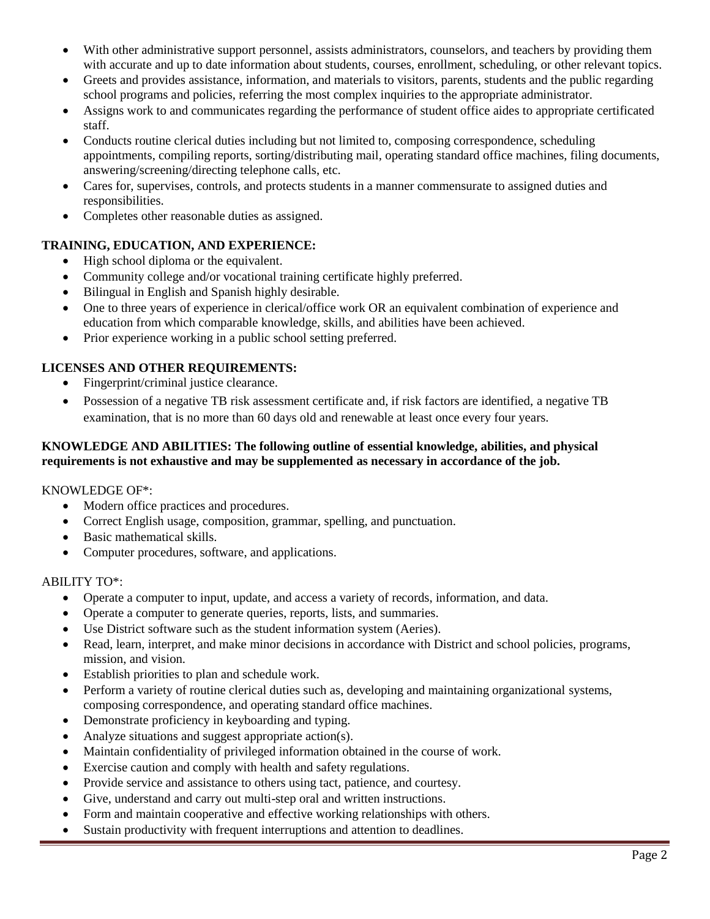- With other administrative support personnel, assists administrators, counselors, and teachers by providing them with accurate and up to date information about students, courses, enrollment, scheduling, or other relevant topics.
- Greets and provides assistance, information, and materials to visitors, parents, students and the public regarding school programs and policies, referring the most complex inquiries to the appropriate administrator.
- Assigns work to and communicates regarding the performance of student office aides to appropriate certificated staff.
- Conducts routine clerical duties including but not limited to, composing correspondence, scheduling appointments, compiling reports, sorting/distributing mail, operating standard office machines, filing documents, answering/screening/directing telephone calls, etc.
- Cares for, supervises, controls, and protects students in a manner commensurate to assigned duties and responsibilities.
- Completes other reasonable duties as assigned.

# **TRAINING, EDUCATION, AND EXPERIENCE:**

- High school diploma or the equivalent.
- Community college and/or vocational training certificate highly preferred.
- Bilingual in English and Spanish highly desirable.
- One to three years of experience in clerical/office work OR an equivalent combination of experience and education from which comparable knowledge, skills, and abilities have been achieved.
- Prior experience working in a public school setting preferred.

# **LICENSES AND OTHER REQUIREMENTS:**

- Fingerprint/criminal justice clearance.
- Possession of a negative TB risk assessment certificate and, if risk factors are identified, a negative TB examination, that is no more than 60 days old and renewable at least once every four years.

## **KNOWLEDGE AND ABILITIES: The following outline of essential knowledge, abilities, and physical requirements is not exhaustive and may be supplemented as necessary in accordance of the job.**

## KNOWLEDGE OF\*:

- Modern office practices and procedures.
- Correct English usage, composition, grammar, spelling, and punctuation.
- Basic mathematical skills.
- Computer procedures, software, and applications.

## ABILITY TO\*:

- Operate a computer to input, update, and access a variety of records, information, and data.
- Operate a computer to generate queries, reports, lists, and summaries.
- Use District software such as the student information system (Aeries).
- Read, learn, interpret, and make minor decisions in accordance with District and school policies, programs, mission, and vision.
- Establish priorities to plan and schedule work.
- Perform a variety of routine clerical duties such as, developing and maintaining organizational systems, composing correspondence, and operating standard office machines.
- Demonstrate proficiency in keyboarding and typing.
- Analyze situations and suggest appropriate action(s).
- Maintain confidentiality of privileged information obtained in the course of work.
- Exercise caution and comply with health and safety regulations.
- Provide service and assistance to others using tact, patience, and courtesy.
- Give, understand and carry out multi-step oral and written instructions.
- Form and maintain cooperative and effective working relationships with others.
- Sustain productivity with frequent interruptions and attention to deadlines.